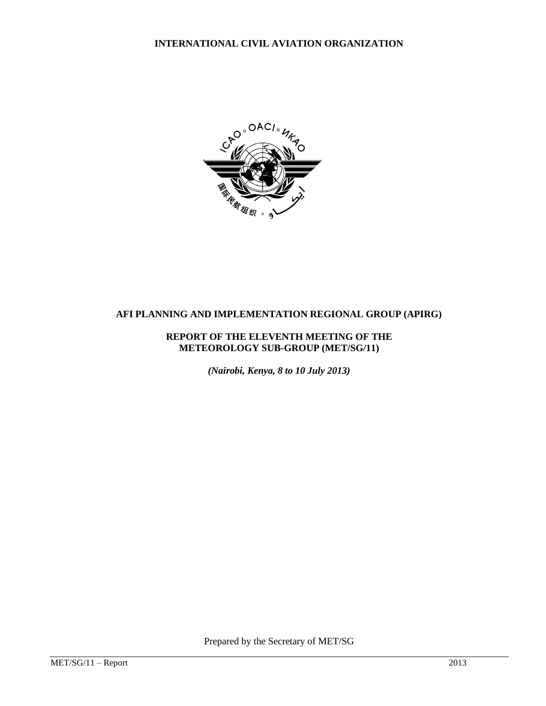**INTERNATIONAL CIVIL AVIATION ORGANIZATION**



# **AFI PLANNING AND IMPLEMENTATION REGIONAL GROUP (APIRG)**

### **REPORT OF THE ELEVENTH MEETING OF THE METEOROLOGY SUB-GROUP (MET/SG/11)**

*(Nairobi, Kenya, 8 to 10 July 2013)*

Prepared by the Secretary of MET/SG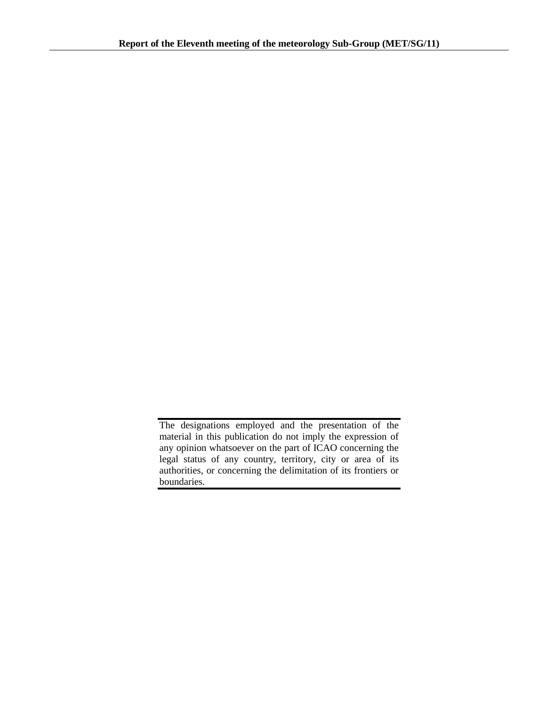The designations employed and the presentation of the material in this publication do not imply the expression of any opinion whatsoever on the part of ICAO concerning the legal status of any country, territory, city or area of its authorities, or concerning the delimitation of its frontiers or boundaries.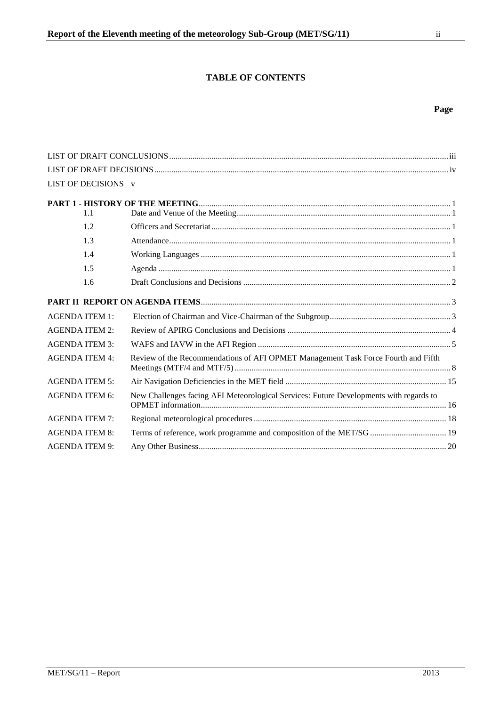# **TABLE OF CONTENTS**

# **Page**

| LIST OF DECISIONS v   |                                                                                        |  |
|-----------------------|----------------------------------------------------------------------------------------|--|
| 1.1                   |                                                                                        |  |
| 1.2                   |                                                                                        |  |
| 1.3                   |                                                                                        |  |
| 1.4                   |                                                                                        |  |
| 1.5                   |                                                                                        |  |
| 1.6                   |                                                                                        |  |
|                       |                                                                                        |  |
| <b>AGENDA ITEM 1:</b> |                                                                                        |  |
| <b>AGENDA ITEM 2:</b> |                                                                                        |  |
| <b>AGENDA ITEM 3:</b> |                                                                                        |  |
| <b>AGENDA ITEM 4:</b> | Review of the Recommendations of AFI OPMET Management Task Force Fourth and Fifth      |  |
| <b>AGENDA ITEM 5:</b> |                                                                                        |  |
| <b>AGENDA ITEM 6:</b> | New Challenges facing AFI Meteorological Services: Future Developments with regards to |  |
| <b>AGENDA ITEM 7:</b> |                                                                                        |  |
| <b>AGENDA ITEM 8:</b> | Terms of reference, work programme and composition of the MET/SG  19                   |  |
| <b>AGENDA ITEM 9:</b> |                                                                                        |  |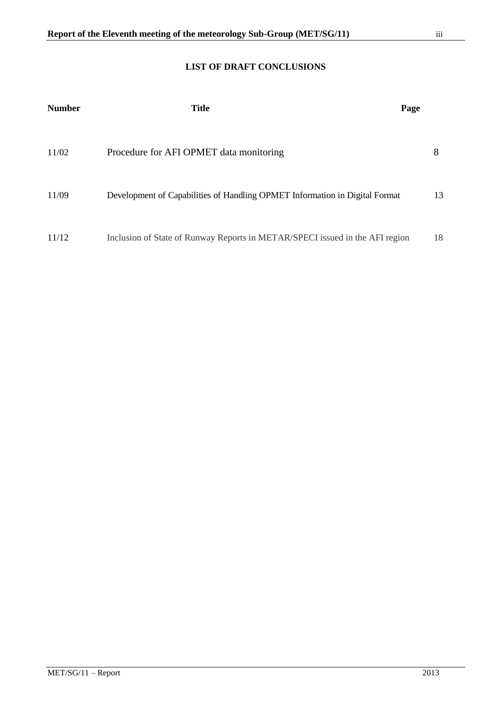<span id="page-3-0"></span>

| <b>Number</b> | <b>Title</b>                                                                 | Page |    |
|---------------|------------------------------------------------------------------------------|------|----|
| 11/02         | Procedure for AFI OPMET data monitoring                                      |      | 8  |
| 11/09         | Development of Capabilities of Handling OPMET Information in Digital Format  |      | 13 |
| 11/12         | Inclusion of State of Runway Reports in METAR/SPECI issued in the AFI region |      | 18 |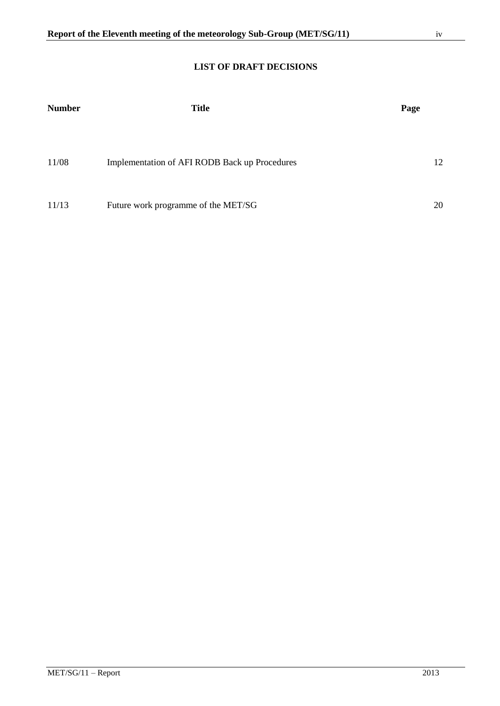# **LIST OF DRAFT DECISIONS**

<span id="page-4-0"></span>

| <b>Number</b> | <b>Title</b>                                  | Page |
|---------------|-----------------------------------------------|------|
| 11/08         | Implementation of AFI RODB Back up Procedures | 12   |
| 11/13         | Future work programme of the MET/SG           | 20   |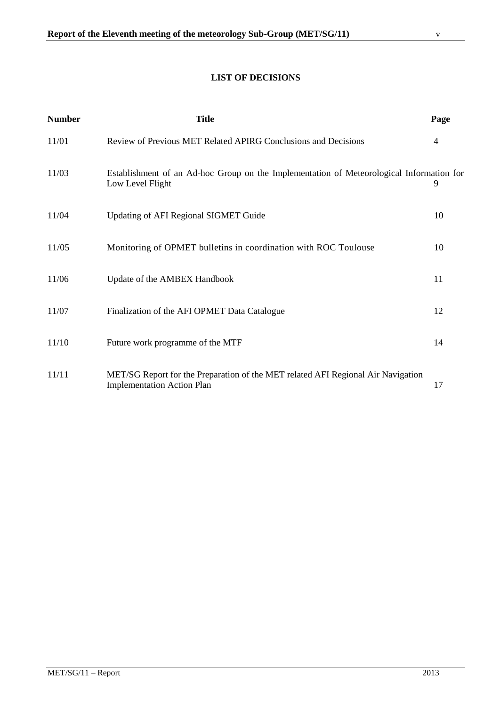# **LIST OF DECISIONS**

<span id="page-5-0"></span>

| <b>Number</b> | <b>Title</b>                                                                                                          | Page           |
|---------------|-----------------------------------------------------------------------------------------------------------------------|----------------|
| 11/01         | Review of Previous MET Related APIRG Conclusions and Decisions                                                        | $\overline{4}$ |
| 11/03         | Establishment of an Ad-hoc Group on the Implementation of Meteorological Information for<br>Low Level Flight          | 9              |
| 11/04         | <b>Updating of AFI Regional SIGMET Guide</b>                                                                          | 10             |
| 11/05         | Monitoring of OPMET bulletins in coordination with ROC Toulouse                                                       | 10             |
| 11/06         | Update of the AMBEX Handbook                                                                                          | 11             |
| 11/07         | Finalization of the AFI OPMET Data Catalogue                                                                          | 12             |
| 11/10         | Future work programme of the MTF                                                                                      | 14             |
| 11/11         | MET/SG Report for the Preparation of the MET related AFI Regional Air Navigation<br><b>Implementation Action Plan</b> | 17             |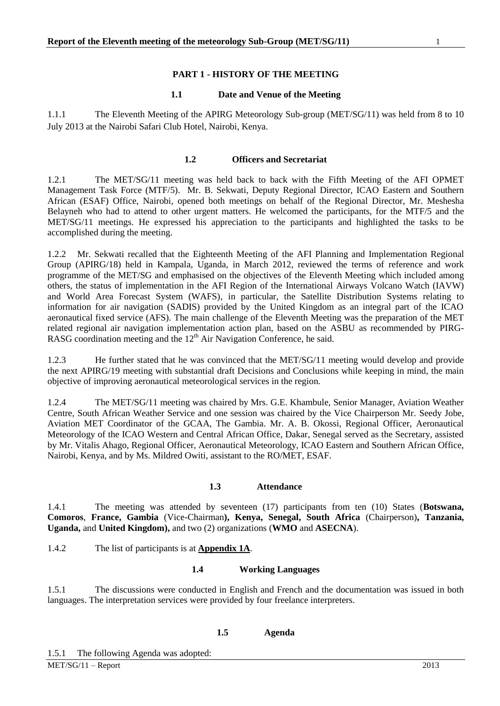## **PART 1 - HISTORY OF THE MEETING**

#### **1.1 Date and Venue of the Meeting**

<span id="page-6-1"></span><span id="page-6-0"></span>1.1.1 The Eleventh Meeting of the APIRG Meteorology Sub-group (MET/SG/11) was held from 8 to 10 July 2013 at the Nairobi Safari Club Hotel, Nairobi, Kenya.

#### **1.2 Officers and Secretariat**

<span id="page-6-2"></span>1.2.1 The MET/SG/11 meeting was held back to back with the Fifth Meeting of the AFI OPMET Management Task Force (MTF/5). Mr. B. Sekwati, Deputy Regional Director, ICAO Eastern and Southern African (ESAF) Office, Nairobi, opened both meetings on behalf of the Regional Director, Mr. Meshesha Belayneh who had to attend to other urgent matters. He welcomed the participants, for the MTF/5 and the MET/SG/11 meetings. He expressed his appreciation to the participants and highlighted the tasks to be accomplished during the meeting.

1.2.2 Mr. Sekwati recalled that the Eighteenth Meeting of the AFI Planning and Implementation Regional Group (APIRG/18) held in Kampala, Uganda, in March 2012, reviewed the terms of reference and work programme of the MET/SG and emphasised on the objectives of the Eleventh Meeting which included among others, the status of implementation in the AFI Region of the International Airways Volcano Watch (IAVW) and World Area Forecast System (WAFS), in particular, the Satellite Distribution Systems relating to information for air navigation (SADIS) provided by the United Kingdom as an integral part of the ICAO aeronautical fixed service (AFS). The main challenge of the Eleventh Meeting was the preparation of the MET related regional air navigation implementation action plan, based on the ASBU as recommended by PIRG-RASG coordination meeting and the  $12<sup>th</sup>$  Air Navigation Conference, he said.

1.2.3 He further stated that he was convinced that the MET/SG/11 meeting would develop and provide the next APIRG/19 meeting with substantial draft Decisions and Conclusions while keeping in mind, the main objective of improving aeronautical meteorological services in the region.

1.2.4 The MET/SG/11 meeting was chaired by Mrs. G.E. Khambule, Senior Manager, Aviation Weather Centre, South African Weather Service and one session was chaired by the Vice Chairperson Mr. Seedy Jobe, Aviation MET Coordinator of the GCAA, The Gambia. Mr. A. B. Okossi, Regional Officer, Aeronautical Meteorology of the ICAO Western and Central African Office, Dakar, Senegal served as the Secretary, assisted by Mr. Vitalis Ahago, Regional Officer, Aeronautical Meteorology, ICAO Eastern and Southern African Office, Nairobi, Kenya, and by Ms. Mildred Owiti, assistant to the RO/MET, ESAF.

#### **1.3 Attendance**

<span id="page-6-3"></span>1.4.1 The meeting was attended by seventeen (17) participants from ten (10) States (**Botswana, Comoros**, **France, Gambia** (Vice-Chairman**), Kenya, Senegal, South Africa** (Chairperson)**, Tanzania, Uganda,** and **United Kingdom),** and two (2) organizations (**WMO** and **ASECNA**).

<span id="page-6-4"></span>1.4.2 The list of participants is at **Appendix 1A**.

#### **1.4 Working Languages**

1.5.1 The discussions were conducted in English and French and the documentation was issued in both languages. The interpretation services were provided by four freelance interpreters.

#### **1.5 Agenda**

<span id="page-6-5"></span>1.5.1 The following Agenda was adopted: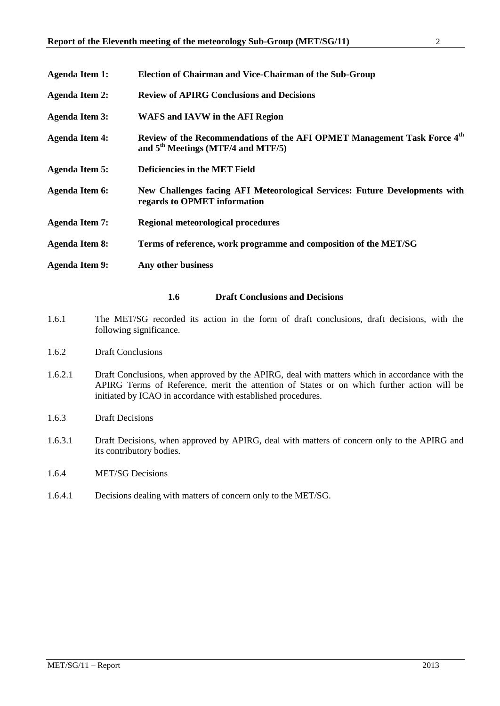| <b>Agenda Item 1:</b> | Election of Chairman and Vice-Chairman of the Sub-Group                                                                                |
|-----------------------|----------------------------------------------------------------------------------------------------------------------------------------|
| <b>Agenda Item 2:</b> | <b>Review of APIRG Conclusions and Decisions</b>                                                                                       |
| <b>Agenda Item 3:</b> | <b>WAFS and IAVW in the AFI Region</b>                                                                                                 |
| <b>Agenda Item 4:</b> | Review of the Recommendations of the AFI OPMET Management Task Force 4 <sup>th</sup><br>and 5 <sup>th</sup> Meetings (MTF/4 and MTF/5) |
| <b>Agenda Item 5:</b> | <b>Deficiencies in the MET Field</b>                                                                                                   |
| <b>Agenda Item 6:</b> | New Challenges facing AFI Meteorological Services: Future Developments with<br>regards to OPMET information                            |
| <b>Agenda Item 7:</b> | Regional meteorological procedures                                                                                                     |
| <b>Agenda Item 8:</b> | Terms of reference, work programme and composition of the MET/SG                                                                       |
| <b>Agenda Item 9:</b> | Any other business                                                                                                                     |
|                       |                                                                                                                                        |

#### **1.6 Draft Conclusions and Decisions**

- <span id="page-7-0"></span>1.6.1 The MET/SG recorded its action in the form of draft conclusions, draft decisions, with the following significance.
- 1.6.2 Draft Conclusions
- 1.6.2.1 Draft Conclusions, when approved by the APIRG, deal with matters which in accordance with the APIRG Terms of Reference, merit the attention of States or on which further action will be initiated by ICAO in accordance with established procedures.
- 1.6.3 Draft Decisions
- 1.6.3.1 Draft Decisions, when approved by APIRG, deal with matters of concern only to the APIRG and its contributory bodies.
- 1.6.4 MET/SG Decisions
- 1.6.4.1 Decisions dealing with matters of concern only to the MET/SG.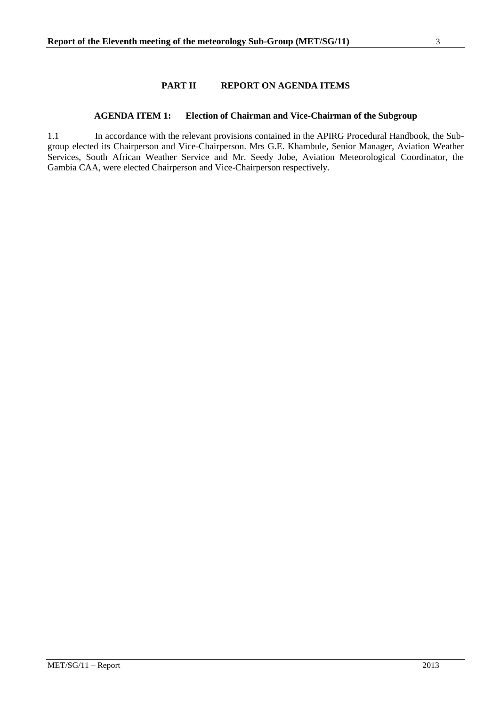## **PART II REPORT ON AGENDA ITEMS**

#### **AGENDA ITEM 1: Election of Chairman and Vice-Chairman of the Subgroup**

<span id="page-8-1"></span><span id="page-8-0"></span>1.1 In accordance with the relevant provisions contained in the APIRG Procedural Handbook, the Subgroup elected its Chairperson and Vice-Chairperson. Mrs G.E. Khambule, Senior Manager, Aviation Weather Services, South African Weather Service and Mr. Seedy Jobe, Aviation Meteorological Coordinator, the Gambia CAA, were elected Chairperson and Vice-Chairperson respectively.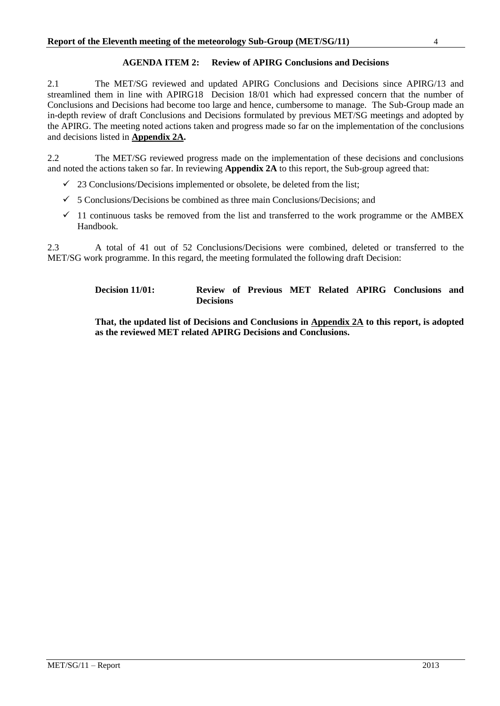#### **AGENDA ITEM 2: Review of APIRG Conclusions and Decisions**

<span id="page-9-0"></span>2.1 The MET/SG reviewed and updated APIRG Conclusions and Decisions since APIRG/13 and streamlined them in line with APIRG18 Decision 18/01 which had expressed concern that the number of Conclusions and Decisions had become too large and hence, cumbersome to manage. The Sub-Group made an in-depth review of draft Conclusions and Decisions formulated by previous MET/SG meetings and adopted by the APIRG. The meeting noted actions taken and progress made so far on the implementation of the conclusions and decisions listed in **Appendix 2A.**

2.2 The MET/SG reviewed progress made on the implementation of these decisions and conclusions and noted the actions taken so far. In reviewing **Appendix 2A** to this report, the Sub-group agreed that:

- $\checkmark$  23 Conclusions/Decisions implemented or obsolete, be deleted from the list;
- $\checkmark$  5 Conclusions/Decisions be combined as three main Conclusions/Decisions; and
- $\checkmark$  11 continuous tasks be removed from the list and transferred to the work programme or the AMBEX Handbook.

2.3 A total of 41 out of 52 Conclusions/Decisions were combined, deleted or transferred to the MET/SG work programme. In this regard, the meeting formulated the following draft Decision:

> **Decision 11/01: Review of Previous MET Related APIRG Conclusions and Decisions**

> **That, the updated list of Decisions and Conclusions in Appendix 2A to this report, is adopted as the reviewed MET related APIRG Decisions and Conclusions.**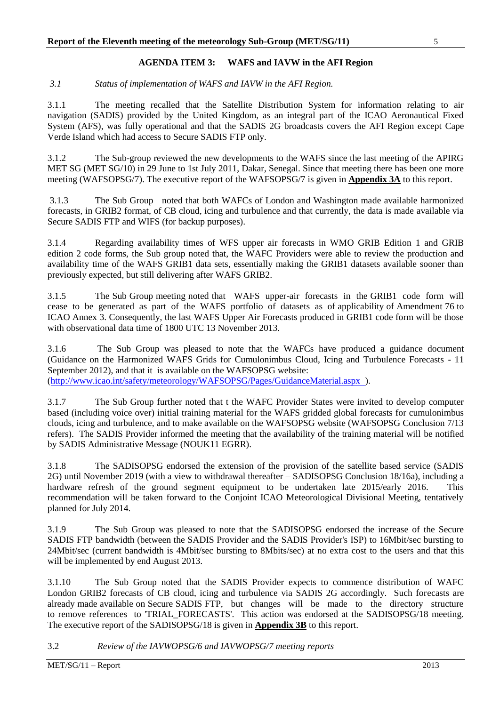## **AGENDA ITEM 3: WAFS and IAVW in the AFI Region**

<span id="page-10-0"></span>*3.1 Status of implementation of WAFS and IAVW in the AFI Region.*

3.1.1 The meeting recalled that the Satellite Distribution System for information relating to air navigation (SADIS) provided by the United Kingdom, as an integral part of the ICAO Aeronautical Fixed System (AFS), was fully operational and that the SADIS 2G broadcasts covers the AFI Region except Cape Verde Island which had access to Secure SADIS FTP only.

3.1.2 The Sub-group reviewed the new developments to the WAFS since the last meeting of the APIRG MET SG (MET SG/10) in 29 June to 1st July 2011, Dakar, Senegal. Since that meeting there has been one more meeting (WAFSOPSG/7). The executive report of the WAFSOPSG/7 is given in **Appendix 3A** to this report.

3.1.3 The Sub Group noted that both WAFCs of London and Washington made available harmonized forecasts, in GRIB2 format, of CB cloud, icing and turbulence and that currently, the data is made available via Secure SADIS FTP and WIFS (for backup purposes).

3.1.4 Regarding availability times of WFS upper air forecasts in WMO GRIB Edition 1 and GRIB edition 2 code forms, the Sub group noted that, the WAFC Providers were able to review the production and availability time of the WAFS GRIB1 data sets, essentially making the GRIB1 datasets available sooner than previously expected, but still delivering after WAFS GRIB2.

3.1.5 The Sub Group meeting noted that WAFS upper-air forecasts in the GRIB1 code form will cease to be generated as part of the WAFS portfolio of datasets as of applicability of Amendment 76 to ICAO Annex 3. Consequently, the last WAFS Upper Air Forecasts produced in GRIB1 code form will be those with observational data time of 1800 UTC 13 November 2013.

3.1.6 The Sub Group was pleased to note that the WAFCs have produced a guidance document (Guidance on the Harmonized WAFS Grids for Cumulonimbus Cloud, Icing and Turbulence Forecasts - 11 September 2012), and that it is available on the WAFSOPSG website: [\(http://www.icao.int/safety/meteorology/WAFSOPSG/Pages/GuidanceMaterial.aspx \)](http://www.icao.int/safety/meteorology/WAFSOPSG/Pages/GuidanceMaterial.aspx).

3.1.7 The Sub Group further noted that t the WAFC Provider States were invited to develop computer based (including voice over) initial training material for the WAFS gridded global forecasts for cumulonimbus clouds, icing and turbulence, and to make available on the WAFSOPSG website (WAFSOPSG Conclusion 7/13 refers). The SADIS Provider informed the meeting that the availability of the training material will be notified by SADIS Administrative Message (NOUK11 EGRR).

3.1.8 The SADISOPSG endorsed the extension of the provision of the satellite based service (SADIS 2G) until November 2019 (with a view to withdrawal thereafter – SADISOPSG Conclusion 18/16a), including a hardware refresh of the ground segment equipment to be undertaken late 2015/early 2016. This recommendation will be taken forward to the Conjoint ICAO Meteorological Divisional Meeting, tentatively planned for July 2014.

3.1.9 The Sub Group was pleased to note that the SADISOPSG endorsed the increase of the Secure SADIS FTP bandwidth (between the SADIS Provider and the SADIS Provider's ISP) to 16Mbit/sec bursting to 24Mbit/sec (current bandwidth is 4Mbit/sec bursting to 8Mbits/sec) at no extra cost to the users and that this will be implemented by end August 2013.

3.1.10 The Sub Group noted that the SADIS Provider expects to commence distribution of WAFC London GRIB2 forecasts of CB cloud, icing and turbulence via SADIS 2G accordingly. Such forecasts are already made available on Secure SADIS FTP, but changes will be made to the directory structure to remove references to 'TRIAL\_FORECASTS'. This action was endorsed at the SADISOPSG/18 meeting. The executive report of the SADISOPSG/18 is given in **Appendix 3B** to this report.

3.2 *Review of the IAVWOPSG/6 and IAVWOPSG/7 meeting reports*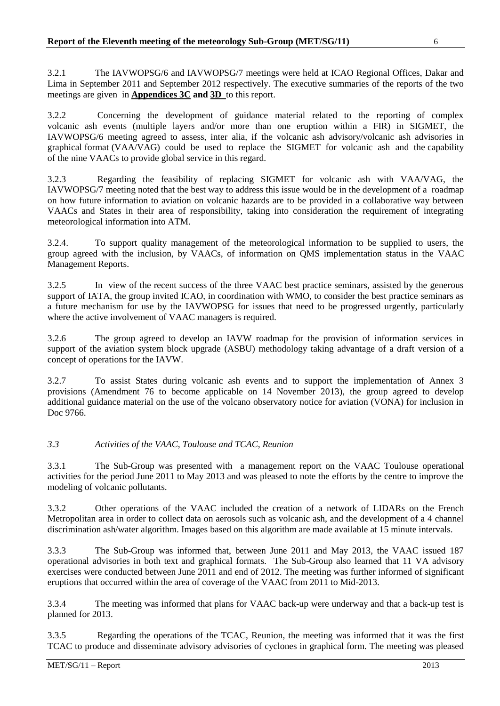3.2.1 The IAVWOPSG/6 and IAVWOPSG/7 meetings were held at ICAO Regional Offices, Dakar and Lima in September 2011 and September 2012 respectively. The executive summaries of the reports of the two meetings are given in **Appendices 3C and 3D** to this report.

3.2.2 Concerning the development of guidance material related to the reporting of complex volcanic ash events (multiple layers and/or more than one eruption within a FIR) in SIGMET, the IAVWOPSG/6 meeting agreed to assess, inter alia, if the volcanic ash advisory/volcanic ash advisories in graphical format (VAA/VAG) could be used to replace the SIGMET for volcanic ash and the capability of the nine VAACs to provide global service in this regard.

3.2.3 Regarding the feasibility of replacing SIGMET for volcanic ash with VAA/VAG, the IAVWOPSG/7 meeting noted that the best way to address this issue would be in the development of a roadmap on how future information to aviation on volcanic hazards are to be provided in a collaborative way between VAACs and States in their area of responsibility, taking into consideration the requirement of integrating meteorological information into ATM.

3.2.4. To support quality management of the meteorological information to be supplied to users, the group agreed with the inclusion, by VAACs, of information on QMS implementation status in the VAAC Management Reports.

3.2.5 In view of the recent success of the three VAAC best practice seminars, assisted by the generous support of IATA, the group invited ICAO, in coordination with WMO, to consider the best practice seminars as a future mechanism for use by the IAVWOPSG for issues that need to be progressed urgently, particularly where the active involvement of VAAC managers is required.

3.2.6 The group agreed to develop an IAVW roadmap for the provision of information services in support of the aviation system block upgrade (ASBU) methodology taking advantage of a draft version of a concept of operations for the IAVW.

3.2.7 To assist States during volcanic ash events and to support the implementation of Annex 3 provisions (Amendment 76 to become applicable on 14 November 2013), the group agreed to develop additional guidance material on the use of the volcano observatory notice for aviation (VONA) for inclusion in Doc 9766.

## *3.3 Activities of the VAAC, Toulouse and TCAC, Reunion*

3.3.1 The Sub-Group was presented with a management report on the VAAC Toulouse operational activities for the period June 2011 to May 2013 and was pleased to note the efforts by the centre to improve the modeling of volcanic pollutants.

3.3.2 Other operations of the VAAC included the creation of a network of LIDARs on the French Metropolitan area in order to collect data on aerosols such as volcanic ash, and the development of a 4 channel discrimination ash/water algorithm. Images based on this algorithm are made available at 15 minute intervals.

3.3.3 The Sub-Group was informed that, between June 2011 and May 2013, the VAAC issued 187 operational advisories in both text and graphical formats. The Sub-Group also learned that 11 VA advisory exercises were conducted between June 2011 and end of 2012. The meeting was further informed of significant eruptions that occurred within the area of coverage of the VAAC from 2011 to Mid-2013.

3.3.4 The meeting was informed that plans for VAAC back-up were underway and that a back-up test is planned for 2013.

3.3.5 Regarding the operations of the TCAC, Reunion, the meeting was informed that it was the first TCAC to produce and disseminate advisory advisories of cyclones in graphical form. The meeting was pleased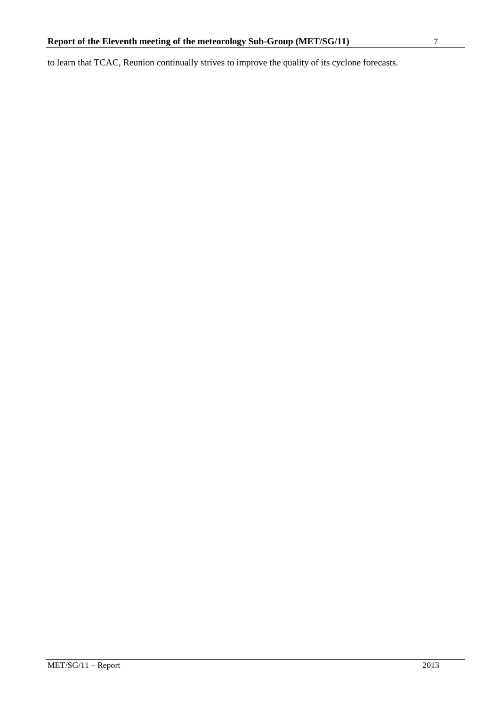to learn that TCAC, Reunion continually strives to improve the quality of its cyclone forecasts.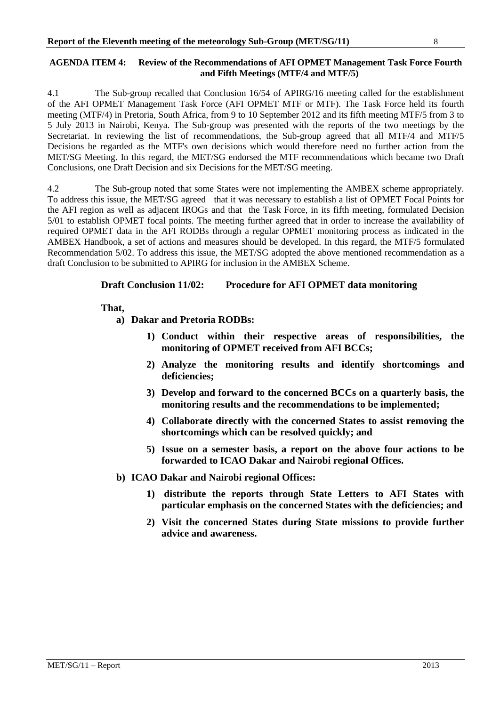## <span id="page-13-0"></span>**AGENDA ITEM 4: Review of the Recommendations of AFI OPMET Management Task Force Fourth and Fifth Meetings (MTF/4 and MTF/5)**

4.1 The Sub-group recalled that Conclusion 16/54 of APIRG/16 meeting called for the establishment of the AFI OPMET Management Task Force (AFI OPMET MTF or MTF). The Task Force held its fourth meeting (MTF/4) in Pretoria, South Africa, from 9 to 10 September 2012 and its fifth meeting MTF/5 from 3 to 5 July 2013 in Nairobi, Kenya. The Sub-group was presented with the reports of the two meetings by the Secretariat. In reviewing the list of recommendations, the Sub-group agreed that all MTF/4 and MTF/5 Decisions be regarded as the MTF's own decisions which would therefore need no further action from the MET/SG Meeting. In this regard, the MET/SG endorsed the MTF recommendations which became two Draft Conclusions, one Draft Decision and six Decisions for the MET/SG meeting.

4.2 The Sub-group noted that some States were not implementing the AMBEX scheme appropriately. To address this issue, the MET/SG agreed that it was necessary to establish a list of OPMET Focal Points for the AFI region as well as adjacent IROGs and that the Task Force, in its fifth meeting, formulated Decision 5/01 to establish OPMET focal points. The meeting further agreed that in order to increase the availability of required OPMET data in the AFI RODBs through a regular OPMET monitoring process as indicated in the AMBEX Handbook, a set of actions and measures should be developed. In this regard, the MTF/5 formulated Recommendation 5/02. To address this issue, the MET/SG adopted the above mentioned recommendation as a draft Conclusion to be submitted to APIRG for inclusion in the AMBEX Scheme.

## **Draft Conclusion 11/02: Procedure for AFI OPMET data monitoring**

## **That,**

**a) Dakar and Pretoria RODBs:**

- **1) Conduct within their respective areas of responsibilities, the monitoring of OPMET received from AFI BCCs;**
- **2) Analyze the monitoring results and identify shortcomings and deficiencies;**
- **3) Develop and forward to the concerned BCCs on a quarterly basis, the monitoring results and the recommendations to be implemented;**
- **4) Collaborate directly with the concerned States to assist removing the shortcomings which can be resolved quickly; and**
- **5) Issue on a semester basis, a report on the above four actions to be forwarded to ICAO Dakar and Nairobi regional Offices.**
- **b) ICAO Dakar and Nairobi regional Offices:**
	- **1) distribute the reports through State Letters to AFI States with particular emphasis on the concerned States with the deficiencies; and**
	- **2) Visit the concerned States during State missions to provide further advice and awareness.**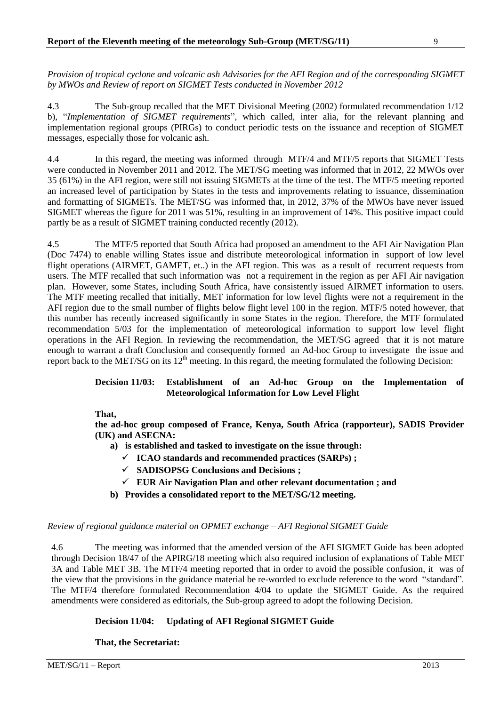*Provision of tropical cyclone and volcanic ash Advisories for the AFI Region and of the corresponding SIGMET by MWOs and Review of report on SIGMET Tests conducted in November 2012*

4.3 The Sub-group recalled that the MET Divisional Meeting (2002) formulated recommendation 1/12 b), "*Implementation of SIGMET requirements*", which called, inter alia, for the relevant planning and implementation regional groups (PIRGs) to conduct periodic tests on the issuance and reception of SIGMET messages, especially those for volcanic ash.

4.4 In this regard, the meeting was informed through MTF/4 and MTF/5 reports that SIGMET Tests were conducted in November 2011 and 2012. The MET/SG meeting was informed that in 2012, 22 MWOs over 35 (61%) in the AFI region, were still not issuing SIGMETs at the time of the test. The MTF/5 meeting reported an increased level of participation by States in the tests and improvements relating to issuance, dissemination and formatting of SIGMETs. The MET/SG was informed that, in 2012, 37% of the MWOs have never issued SIGMET whereas the figure for 2011 was 51%, resulting in an improvement of 14%. This positive impact could partly be as a result of SIGMET training conducted recently (2012).

4.5 The MTF/5 reported that South Africa had proposed an amendment to the AFI Air Navigation Plan (Doc 7474) to enable willing States issue and distribute meteorological information in support of low level flight operations (AIRMET, GAMET, et..) in the AFI region. This was as a result of recurrent requests from users. The MTF recalled that such information was not a requirement in the region as per AFI Air navigation plan. However, some States, including South Africa, have consistently issued AIRMET information to users. The MTF meeting recalled that initially, MET information for low level flights were not a requirement in the AFI region due to the small number of flights below flight level 100 in the region. MTF/5 noted however, that this number has recently increased significantly in some States in the region. Therefore, the MTF formulated recommendation 5/03 for the implementation of meteorological information to support low level flight operations in the AFI Region. In reviewing the recommendation, the MET/SG agreed that it is not mature enough to warrant a draft Conclusion and consequently formed an Ad-hoc Group to investigate the issue and report back to the MET/SG on its  $12<sup>th</sup>$  meeting. In this regard, the meeting formulated the following Decision:

## **Decision 11/03: Establishment of an Ad-hoc Group on the Implementation of Meteorological Information for Low Level Flight**

#### **That,**

**the ad-hoc group composed of France, Kenya, South Africa (rapporteur), SADIS Provider (UK) and ASECNA:**

- **a) is established and tasked to investigate on the issue through:**
	- **ICAO standards and recommended practices (SARPs) ;**
	- **SADISOPSG Conclusions and Decisions ;**
	- **EUR Air Navigation Plan and other relevant documentation ; and**
- **b) Provides a consolidated report to the MET/SG/12 meeting.**

#### *Review of regional guidance material on OPMET exchange – AFI Regional SIGMET Guide*

4.6 The meeting was informed that the amended version of the AFI SIGMET Guide has been adopted through Decision 18/47 of the APIRG/18 meeting which also required inclusion of explanations of Table MET 3A and Table MET 3B. The MTF/4 meeting reported that in order to avoid the possible confusion, it was of the view that the provisions in the guidance material be re-worded to exclude reference to the word "standard". The MTF/4 therefore formulated Recommendation 4/04 to update the SIGMET Guide. As the required amendments were considered as editorials, the Sub-group agreed to adopt the following Decision.

## **Decision 11/04: Updating of AFI Regional SIGMET Guide**

**That, the Secretariat:**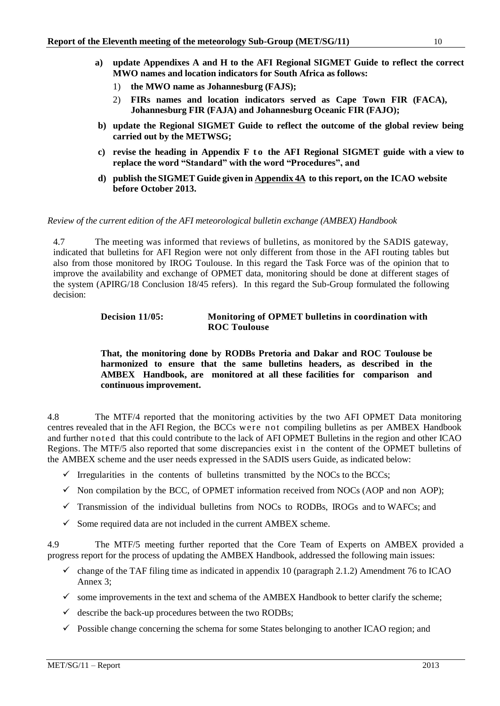- **a) update Appendixes A and H to the AFI Regional SIGMET Guide to reflect the correct MWO names and location indicators for South Africa as follows:**
	- 1) **the MWO name as Johannesburg (FAJS);**
	- 2) **FIRs names and location indicators served as Cape Town FIR (FACA), Johannesburg FIR (FAJA) and Johannesburg Oceanic FIR (FAJO);**
- **b) update the Regional SIGMET Guide to reflect the outcome of the global review being carried out by the METWSG;**
- **c) revise the heading in Appendix F t o the AFI Regional SIGMET guide with a view to replace the word "Standard" with the word "Procedures", and**
- **d) publish the SIGMET Guide given in Appendix 4A to this report, on the ICAO website before October 2013.**

#### *Review of the current edition of the AFI meteorological bulletin exchange (AMBEX) Handbook*

4.7 The meeting was informed that reviews of bulletins, as monitored by the SADIS gateway, indicated that bulletins for AFI Region were not only different from those in the AFI routing tables but also from those monitored by IROG Toulouse. In this regard the Task Force was of the opinion that to improve the availability and exchange of OPMET data, monitoring should be done at different stages of the system (APIRG/18 Conclusion 18/45 refers). In this regard the Sub-Group formulated the following decision:

### **Decision 11/05: Monitoring of OPMET bulletins in coordination with ROC Toulouse**

#### **That, the monitoring done by RODBs Pretoria and Dakar and ROC Toulouse be harmonized to ensure that the same bulletins headers, as described in the AMBEX Handbook, are monitored at all these facilities for comparison and continuous improvement.**

4.8 The MTF/4 reported that the monitoring activities by the two AFI OPMET Data monitoring centres revealed that in the AFI Region, the BCCs were not compiling bulletins as per AMBEX Handbook and further noted that this could contribute to the lack of AFI OPMET Bulletins in the region and other ICAO Regions. The MTF/5 also reported that some discrepancies exist in the content of the OPMET bulletins of the AMBEX scheme and the user needs expressed in the SADIS users Guide, as indicated below:

- $\checkmark$  Irregularities in the contents of bulletins transmitted by the NOCs to the BCCs;
- $\checkmark$  Non compilation by the BCC, of OPMET information received from NOCs (AOP and non AOP);
- $\checkmark$  Transmission of the individual bulletins from NOCs to RODBs, IROGs and to WAFCs; and
- $\checkmark$  Some required data are not included in the current AMBEX scheme.

4.9 The MTF/5 meeting further reported that the Core Team of Experts on AMBEX provided a progress report for the process of updating the AMBEX Handbook, addressed the following main issues:

- $\checkmark$  change of the TAF filing time as indicated in appendix 10 (paragraph 2.1.2) Amendment 76 to ICAO Annex 3;
- $\checkmark$  some improvements in the text and schema of the AMBEX Handbook to better clarify the scheme;
- $\checkmark$  describe the back-up procedures between the two RODBs;
- $\checkmark$  Possible change concerning the schema for some States belonging to another ICAO region; and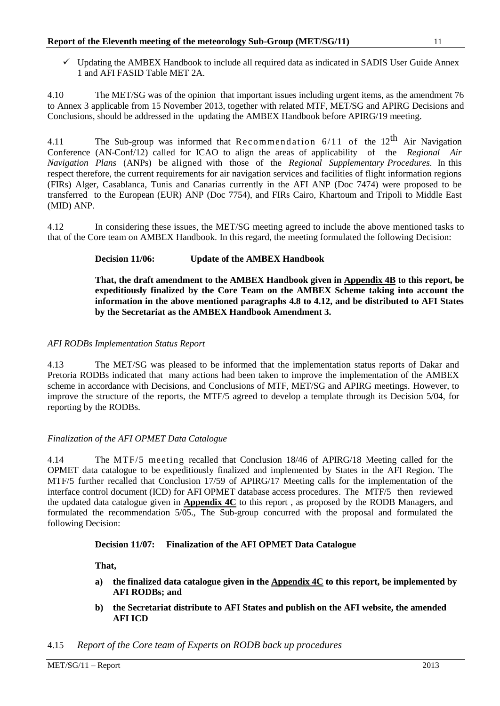$\checkmark$  Updating the AMBEX Handbook to include all required data as indicated in SADIS User Guide Annex 1 and AFI FASID Table MET 2A.

4.10 The MET/SG was of the opinion that important issues including urgent items, as the amendment 76 to Annex 3 applicable from 15 November 2013, together with related MTF, MET/SG and APIRG Decisions and Conclusions, should be addressed in the updating the AMBEX Handbook before APIRG/19 meeting.

4.11 The Sub-group was informed that Recommendation  $6/11$  of the  $12^{\text{th}}$  Air Navigation Conference (AN-Conf/12) called for ICAO to align the areas of applicability of the *Regional Air Navigation Plans* (ANPs) be aligned with those of the *Regional Supplementary Procedures.* In this respect therefore, the current requirements for air navigation services and facilities of flight information regions (FIRs) Alger, Casablanca, Tunis and Canarias currently in the AFI ANP (Doc 7474) were proposed to be transferred to the European (EUR) ANP (Doc 7754), and FIRs Cairo, Khartoum and Tripoli to Middle East (MID) ANP.

4.12 In considering these issues, the MET/SG meeting agreed to include the above mentioned tasks to that of the Core team on AMBEX Handbook. In this regard, the meeting formulated the following Decision:

# **Decision 11/06: Update of the AMBEX Handbook**

**That, the draft amendment to the AMBEX Handbook given in Appendix 4B to this report, be expeditiously finalized by the Core Team on the AMBEX Scheme taking into account the information in the above mentioned paragraphs 4.8 to 4.12, and be distributed to AFI States by the Secretariat as the AMBEX Handbook Amendment 3.**

## *AFI RODBs Implementation Status Report*

4.13 The MET/SG was pleased to be informed that the implementation status reports of Dakar and Pretoria RODBs indicated that many actions had been taken to improve the implementation of the AMBEX scheme in accordance with Decisions, and Conclusions of MTF, MET/SG and APIRG meetings. However, to improve the structure of the reports, the MTF/5 agreed to develop a template through its Decision 5/04, for reporting by the RODBs.

## *Finalization of the AFI OPMET Data Catalogue*

4.14 The MTF/5 meeting recalled that Conclusion 18/46 of APIRG/18 Meeting called for the OPMET data catalogue to be expeditiously finalized and implemented by States in the AFI Region. The MTF/5 further recalled that Conclusion 17/59 of APIRG/17 Meeting calls for the implementation of the interface control document (ICD) for AFI OPMET database access procedures. The MTF/5 then reviewed the updated data catalogue given in **Appendix 4C** to this report , as proposed by the RODB Managers, and formulated the recommendation 5/05., The Sub-group concurred with the proposal and formulated the following Decision:

#### **Decision 11/07: Finalization of the AFI OPMET Data Catalogue**

**That,**

- **a) the finalized data catalogue given in the Appendix 4C to this report, be implemented by AFI RODBs; and**
- **b) the Secretariat distribute to AFI States and publish on the AFI website, the amended AFI ICD**

#### 4.15 *Report of the Core team of Experts on RODB back up procedures*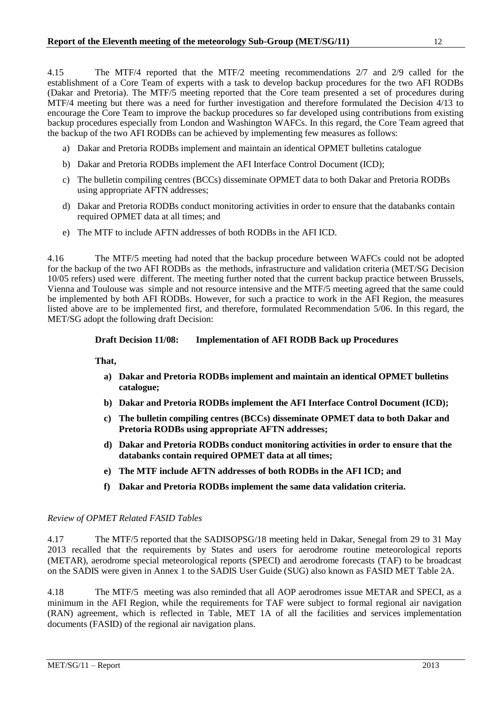4.15 The MTF/4 reported that the MTF/2 meeting recommendations 2/7 and 2/9 called for the establishment of a Core Team of experts with a task to develop backup procedures for the two AFI RODBs (Dakar and Pretoria). The MTF/5 meeting reported that the Core team presented a set of procedures during MTF/4 meeting but there was a need for further investigation and therefore formulated the Decision 4/13 to encourage the Core Team to improve the backup procedures so far developed using contributions from existing backup procedures especially from London and Washington WAFCs. In this regard, the Core Team agreed that the backup of the two AFI RODBs can be achieved by implementing few measures as follows:

- a) Dakar and Pretoria RODBs implement and maintain an identical OPMET bulletins catalogue
- b) Dakar and Pretoria RODBs implement the AFI Interface Control Document (ICD);
- c) The bulletin compiling centres (BCCs) disseminate OPMET data to both Dakar and Pretoria RODBs using appropriate AFTN addresses;
- d) Dakar and Pretoria RODBs conduct monitoring activities in order to ensure that the databanks contain required OPMET data at all times; and
- e) The MTF to include AFTN addresses of both RODBs in the AFI ICD.

4.16 The MTF/5 meeting had noted that the backup procedure between WAFCs could not be adopted for the backup of the two AFI RODBs as the methods, infrastructure and validation criteria (MET/SG Decision 10/05 refers) used were different. The meeting further noted that the current backup practice between Brussels, Vienna and Toulouse was simple and not resource intensive and the MTF/5 meeting agreed that the same could be implemented by both AFI RODBs. However, for such a practice to work in the AFI Region, the measures listed above are to be implemented first, and therefore, formulated Recommendation 5/06. In this regard, the MET/SG adopt the following draft Decision:

## **Draft Decision 11/08: Implementation of AFI RODB Back up Procedures**

**That,**

- **a) Dakar and Pretoria RODBs implement and maintain an identical OPMET bulletins catalogue;**
- **b) Dakar and Pretoria RODBs implement the AFI Interface Control Document (ICD);**
- **c) The bulletin compiling centres (BCCs) disseminate OPMET data to both Dakar and Pretoria RODBs using appropriate AFTN addresses;**
- **d) Dakar and Pretoria RODBs conduct monitoring activities in order to ensure that the databanks contain required OPMET data at all times;**
- **e) The MTF include AFTN addresses of both RODBs in the AFI ICD; and**
- **f) Dakar and Pretoria RODBs implement the same data validation criteria.**

#### *Review of OPMET Related FASID Tables*

4.17 The MTF/5 reported that the SADISOPSG/18 meeting held in Dakar, Senegal from 29 to 31 May 2013 recalled that the requirements by States and users for aerodrome routine meteorological reports (METAR), aerodrome special meteorological reports (SPECI) and aerodrome forecasts (TAF) to be broadcast on the SADIS were given in Annex 1 to the SADIS User Guide (SUG) also known as FASID MET Table 2A.

4.18 The MTF/5 meeting was also reminded that all AOP aerodromes issue METAR and SPECI, as a minimum in the AFI Region, while the requirements for TAF were subject to formal regional air navigation (RAN) agreement, which is reflected in Table, MET 1A of all the facilities and services implementation documents (FASID) of the regional air navigation plans.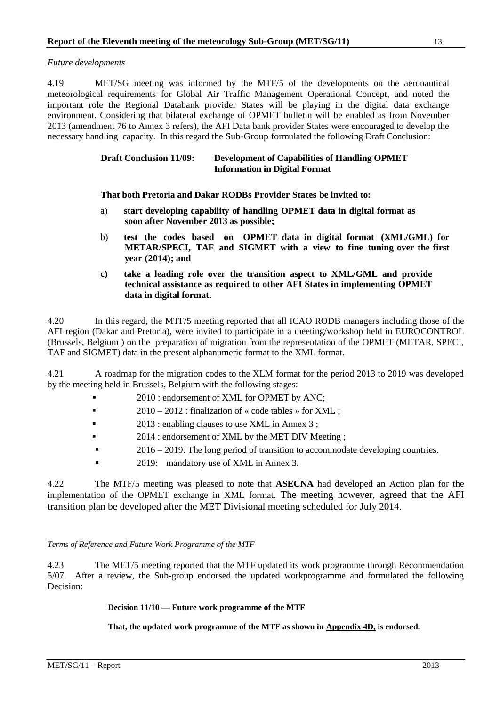*Future developments*

4.19 MET/SG meeting was informed by the MTF/5 of the developments on the aeronautical meteorological requirements for Global Air Traffic Management Operational Concept, and noted the important role the Regional Databank provider States will be playing in the digital data exchange environment. Considering that bilateral exchange of OPMET bulletin will be enabled as from November 2013 (amendment 76 to Annex 3 refers), the AFI Data bank provider States were encouraged to develop the necessary handling capacity. In this regard the Sub-Group formulated the following Draft Conclusion:

## **Draft Conclusion 11/09: Development of Capabilities of Handling OPMET Information in Digital Format**

**That both Pretoria and Dakar RODBs Provider States be invited to:**

- a) **start developing capability of handling OPMET data in digital format as soon after November 2013 as possible;**
- b) **test the codes based on OPMET data in digital format (XML/GML) for METAR/SPECI, TAF and SIGMET with a view to fine tuning over the first year (2014); and**
- **c) take a leading role over the transition aspect to XML/GML and provide technical assistance as required to other AFI States in implementing OPMET data in digital format.**

4.20 In this regard, the MTF/5 meeting reported that all ICAO RODB managers including those of the AFI region (Dakar and Pretoria), were invited to participate in a meeting/workshop held in EUROCONTROL (Brussels, Belgium ) on the preparation of migration from the representation of the OPMET (METAR, SPECI, TAF and SIGMET) data in the present alphanumeric format to the XML format.

4.21 A roadmap for the migration codes to the XLM format for the period 2013 to 2019 was developed by the meeting held in Brussels, Belgium with the following stages:

- 2010 : endorsement of XML for OPMET by ANC;
- 2010 2012 : finalization of « code tables » for  $XML$  :
- 2013 : enabling clauses to use XML in Annex 3 ;
- 2014 : endorsement of XML by the MET DIV Meeting ;
- 2016 2019: The long period of transition to accommodate developing countries.
- **2019:** mandatory use of XML in Annex 3.

4.22 The MTF/5 meeting was pleased to note that **ASECNA** had developed an Action plan for the implementation of the OPMET exchange in XML format. The meeting however, agreed that the AFI transition plan be developed after the MET Divisional meeting scheduled for July 2014.

#### *Terms of Reference and Future Work Programme of the MTF*

4.23 The MET/5 meeting reported that the MTF updated its work programme through Recommendation 5/07. After a review, the Sub-group endorsed the updated workprogramme and formulated the following Decision:

#### **Decision 11/10 — Future work programme of the MTF**

**That, the updated work programme of the MTF as shown in Appendix 4D, is endorsed.**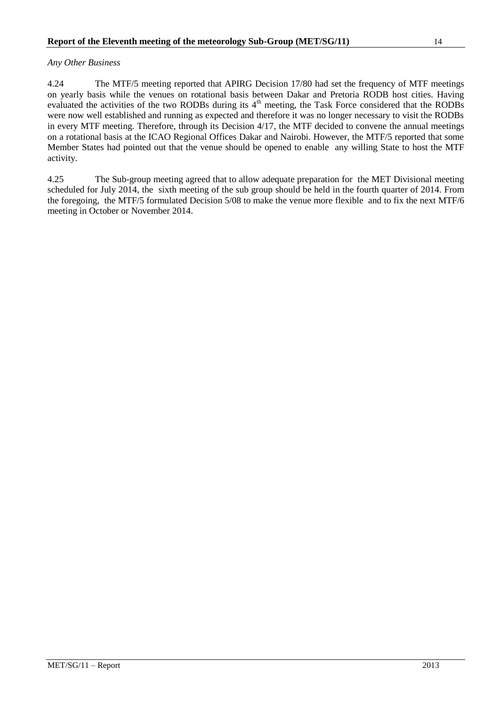## *Any Other Business*

4.24 The MTF/5 meeting reported that APIRG Decision 17/80 had set the frequency of MTF meetings on yearly basis while the venues on rotational basis between Dakar and Pretoria RODB host cities. Having evaluated the activities of the two RODBs during its 4<sup>th</sup> meeting, the Task Force considered that the RODBs were now well established and running as expected and therefore it was no longer necessary to visit the RODBs in every MTF meeting. Therefore, through its Decision 4/17, the MTF decided to convene the annual meetings on a rotational basis at the ICAO Regional Offices Dakar and Nairobi. However, the MTF/5 reported that some Member States had pointed out that the venue should be opened to enable any willing State to host the MTF activity.

4.25 The Sub-group meeting agreed that to allow adequate preparation for the MET Divisional meeting scheduled for July 2014, the sixth meeting of the sub group should be held in the fourth quarter of 2014. From the foregoing, the MTF/5 formulated Decision 5/08 to make the venue more flexible and to fix the next MTF/6 meeting in October or November 2014.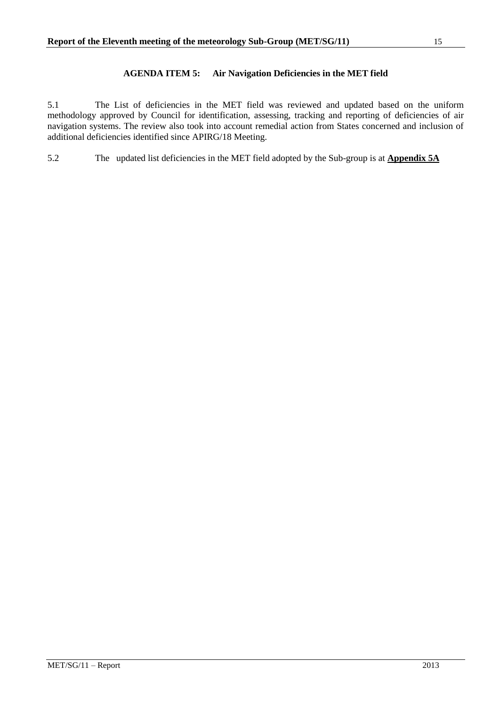# **AGENDA ITEM 5: Air Navigation Deficiencies in the MET field**

<span id="page-20-0"></span>5.1 The List of deficiencies in the MET field was reviewed and updated based on the uniform methodology approved by Council for identification, assessing, tracking and reporting of deficiencies of air navigation systems. The review also took into account remedial action from States concerned and inclusion of additional deficiencies identified since APIRG/18 Meeting.

5.2 The updated list deficiencies in the MET field adopted by the Sub-group is at **Appendix 5A**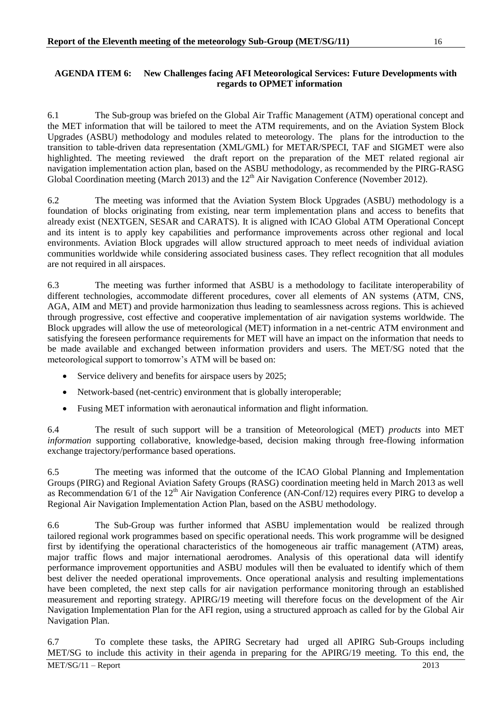## <span id="page-21-0"></span>**AGENDA ITEM 6: New Challenges facing AFI Meteorological Services: Future Developments with regards to OPMET information**

6.1 The Sub-group was briefed on the Global Air Traffic Management (ATM) operational concept and the MET information that will be tailored to meet the ATM requirements, and on the Aviation System Block Upgrades (ASBU) methodology and modules related to meteorology. The plans for the introduction to the transition to table-driven data representation (XML/GML) for METAR/SPECI, TAF and SIGMET were also highlighted. The meeting reviewed the draft report on the preparation of the MET related regional air navigation implementation action plan, based on the ASBU methodology, as recommended by the PIRG-RASG Global Coordination meeting (March 2013) and the  $12<sup>th</sup>$  Air Navigation Conference (November 2012).

6.2 The meeting was informed that the Aviation System Block Upgrades (ASBU) methodology is a foundation of blocks originating from existing, near term implementation plans and access to benefits that already exist (NEXTGEN, SESAR and CARATS). It is aligned with ICAO Global ATM Operational Concept and its intent is to apply key capabilities and performance improvements across other regional and local environments. Aviation Block upgrades will allow structured approach to meet needs of individual aviation communities worldwide while considering associated business cases. They reflect recognition that all modules are not required in all airspaces.

6.3 The meeting was further informed that ASBU is a methodology to facilitate interoperability of different technologies, accommodate different procedures, cover all elements of AN systems (ATM, CNS, AGA, AIM and MET) and provide harmonization thus leading to seamlessness across regions. This is achieved through progressive, cost effective and cooperative implementation of air navigation systems worldwide. The Block upgrades will allow the use of meteorological (MET) information in a net-centric ATM environment and satisfying the foreseen performance requirements for MET will have an impact on the information that needs to be made available and exchanged between information providers and users. The MET/SG noted that the meteorological support to tomorrow's ATM will be based on:

- Service delivery and benefits for airspace users by 2025;
- Network-based (net-centric) environment that is globally interoperable;
- Fusing MET information with aeronautical information and flight information.

6.4 The result of such support will be a transition of Meteorological (MET) *products* into MET *information* supporting collaborative, knowledge-based, decision making through free-flowing information exchange trajectory/performance based operations.

6.5 The meeting was informed that the outcome of the ICAO Global Planning and Implementation Groups (PIRG) and Regional Aviation Safety Groups (RASG) coordination meeting held in March 2013 as well as Recommendation  $6/1$  of the  $12<sup>th</sup>$  Air Navigation Conference (AN-Conf/12) requires every PIRG to develop a Regional Air Navigation Implementation Action Plan, based on the ASBU methodology.

6.6 The Sub-Group was further informed that ASBU implementation would be realized through tailored regional work programmes based on specific operational needs. This work programme will be designed first by identifying the operational characteristics of the homogeneous air traffic management (ATM) areas, major traffic flows and major international aerodromes. Analysis of this operational data will identify performance improvement opportunities and ASBU modules will then be evaluated to identify which of them best deliver the needed operational improvements. Once operational analysis and resulting implementations have been completed, the next step calls for air navigation performance monitoring through an established measurement and reporting strategy. APIRG/19 meeting will therefore focus on the development of the Air Navigation Implementation Plan for the AFI region, using a structured approach as called for by the Global Air Navigation Plan.

6.7 To complete these tasks, the APIRG Secretary had urged all APIRG Sub-Groups including MET/SG to include this activity in their agenda in preparing for the APIRG/19 meeting. To this end, the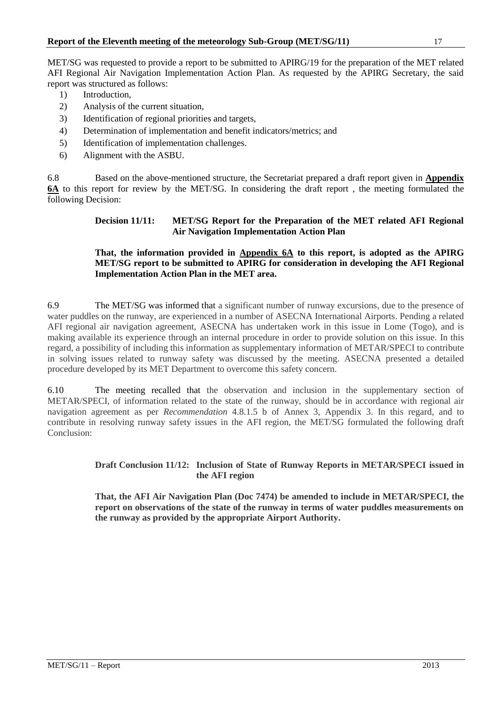MET/SG was requested to provide a report to be submitted to APIRG/19 for the preparation of the MET related AFI Regional Air Navigation Implementation Action Plan. As requested by the APIRG Secretary, the said report was structured as follows:

- 1) Introduction,
- 2) Analysis of the current situation,
- 3) Identification of regional priorities and targets,
- 4) Determination of implementation and benefit indicators/metrics; and
- 5) Identification of implementation challenges.
- 6) Alignment with the ASBU.

6.8 Based on the above-mentioned structure, the Secretariat prepared a draft report given in **Appendix 6A** to this report for review by the MET/SG. In considering the draft report , the meeting formulated the following Decision:

## **Decision 11/11: MET/SG Report for the Preparation of the MET related AFI Regional Air Navigation Implementation Action Plan**

# **That, the information provided in Appendix 6A to this report, is adopted as the APIRG MET/SG report to be submitted to APIRG for consideration in developing the AFI Regional Implementation Action Plan in the MET area.**

6.9 The MET/SG was informed that a significant number of runway excursions, due to the presence of water puddles on the runway, are experienced in a number of ASECNA International Airports. Pending a related AFI regional air navigation agreement, ASECNA has undertaken work in this issue in Lome (Togo), and is making available its experience through an internal procedure in order to provide solution on this issue. In this regard, a possibility of including this information as supplementary information of METAR/SPECI to contribute in solving issues related to runway safety was discussed by the meeting. ASECNA presented a detailed procedure developed by its MET Department to overcome this safety concern.

6.10 The meeting recalled that the observation and inclusion in the supplementary section of METAR/SPECI, of information related to the state of the runway, should be in accordance with regional air navigation agreement as per *Recommendation* 4.8.1.5 b of Annex 3, Appendix 3. In this regard, and to contribute in resolving runway safety issues in the AFI region, the MET/SG formulated the following draft Conclusion:

# **Draft Conclusion 11/12: Inclusion of State of Runway Reports in METAR/SPECI issued in the AFI region**

**That, the AFI Air Navigation Plan (Doc 7474) be amended to include in METAR/SPECI, the report on observations of the state of the runway in terms of water puddles measurements on the runway as provided by the appropriate Airport Authority.**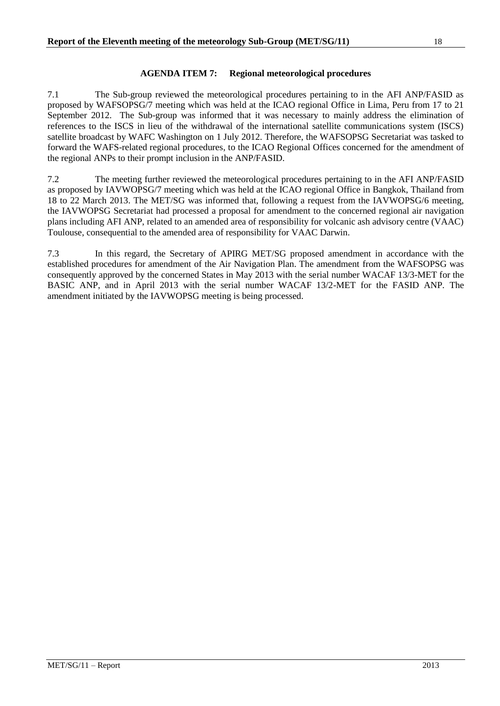# **AGENDA ITEM 7: Regional meteorological procedures**

<span id="page-23-0"></span>7.1 The Sub-group reviewed the meteorological procedures pertaining to in the AFI ANP/FASID as proposed by WAFSOPSG/7 meeting which was held at the ICAO regional Office in Lima, Peru from 17 to 21 September 2012. The Sub-group was informed that it was necessary to mainly address the elimination of references to the ISCS in lieu of the withdrawal of the international satellite communications system (ISCS) satellite broadcast by WAFC Washington on 1 July 2012. Therefore, the WAFSOPSG Secretariat was tasked to forward the WAFS-related regional procedures, to the ICAO Regional Offices concerned for the amendment of the regional ANPs to their prompt inclusion in the ANP/FASID.

7.2 The meeting further reviewed the meteorological procedures pertaining to in the AFI ANP/FASID as proposed by IAVWOPSG/7 meeting which was held at the ICAO regional Office in Bangkok, Thailand from 18 to 22 March 2013. The MET/SG was informed that, following a request from the IAVWOPSG/6 meeting, the IAVWOPSG Secretariat had processed a proposal for amendment to the concerned regional air navigation plans including AFI ANP, related to an amended area of responsibility for volcanic ash advisory centre (VAAC) Toulouse, consequential to the amended area of responsibility for VAAC Darwin.

7.3 In this regard, the Secretary of APIRG MET/SG proposed amendment in accordance with the established procedures for amendment of the Air Navigation Plan. The amendment from the WAFSOPSG was consequently approved by the concerned States in May 2013 with the serial number WACAF 13/3-MET for the BASIC ANP, and in April 2013 with the serial number WACAF 13/2-MET for the FASID ANP. The amendment initiated by the IAVWOPSG meeting is being processed.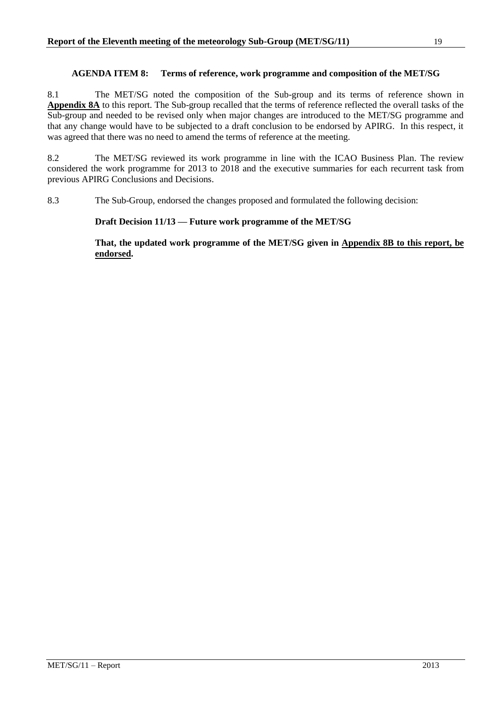## **AGENDA ITEM 8: Terms of reference, work programme and composition of the MET/SG**

<span id="page-24-0"></span>8.1 The MET/SG noted the composition of the Sub-group and its terms of reference shown in **Appendix 8A** to this report. The Sub-group recalled that the terms of reference reflected the overall tasks of the Sub-group and needed to be revised only when major changes are introduced to the MET/SG programme and that any change would have to be subjected to a draft conclusion to be endorsed by APIRG. In this respect, it was agreed that there was no need to amend the terms of reference at the meeting.

8.2 The MET/SG reviewed its work programme in line with the ICAO Business Plan. The review considered the work programme for 2013 to 2018 and the executive summaries for each recurrent task from previous APIRG Conclusions and Decisions.

8.3 The Sub-Group, endorsed the changes proposed and formulated the following decision:

## **Draft Decision 11/13 — Future work programme of the MET/SG**

**That, the updated work programme of the MET/SG given in Appendix 8B to this report, be endorsed.**